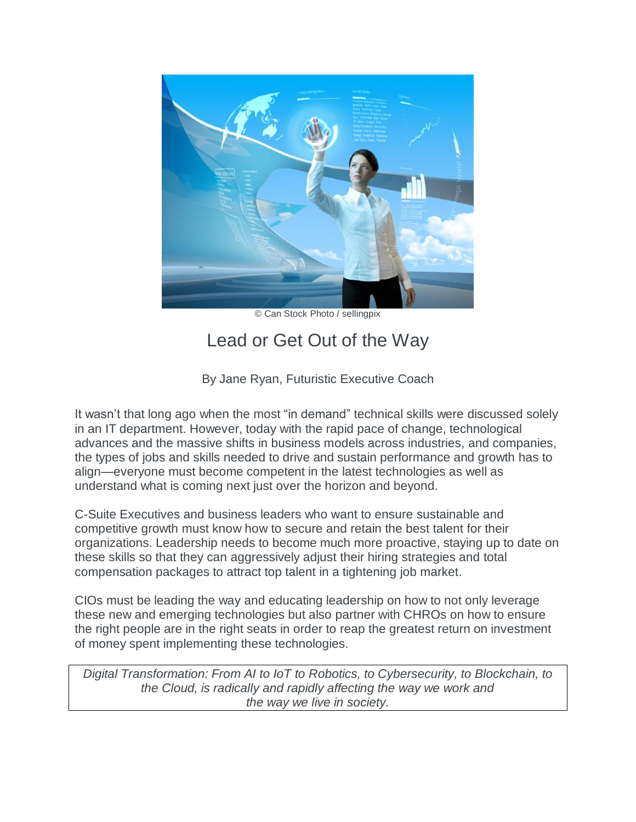

© Can Stock Photo / sellingpix

## Lead or Get Out of the Way

By Jane Ryan, Futuristic Executive Coach

It wasn't that long ago when the most "in demand" technical skills were discussed solely in an IT department. However, today with the rapid pace of change, technological advances and the massive shifts in business models across industries, and companies, the types of jobs and skills needed to drive and sustain performance and growth has to align—everyone must become competent in the latest technologies as well as understand what is coming next just over the horizon and beyond.

C-Suite Executives and business leaders who want to ensure sustainable and competitive growth must know how to secure and retain the best talent for their organizations. Leadership needs to become much more proactive, staying up to date on these skills so that they can aggressively adjust their hiring strategies and total compensation packages to attract top talent in a tightening job market.

CIOs must be leading the way and educating leadership on how to not only leverage these new and emerging technologies but also partner with CHROs on how to ensure the right people are in the right seats in order to reap the greatest return on investment of money spent implementing these technologies.

*Digital Transformation: From AI to IoT to Robotics, to Cybersecurity, to Blockchain, to the Cloud, is radically and rapidly affecting the way we work and the way we live in society.*